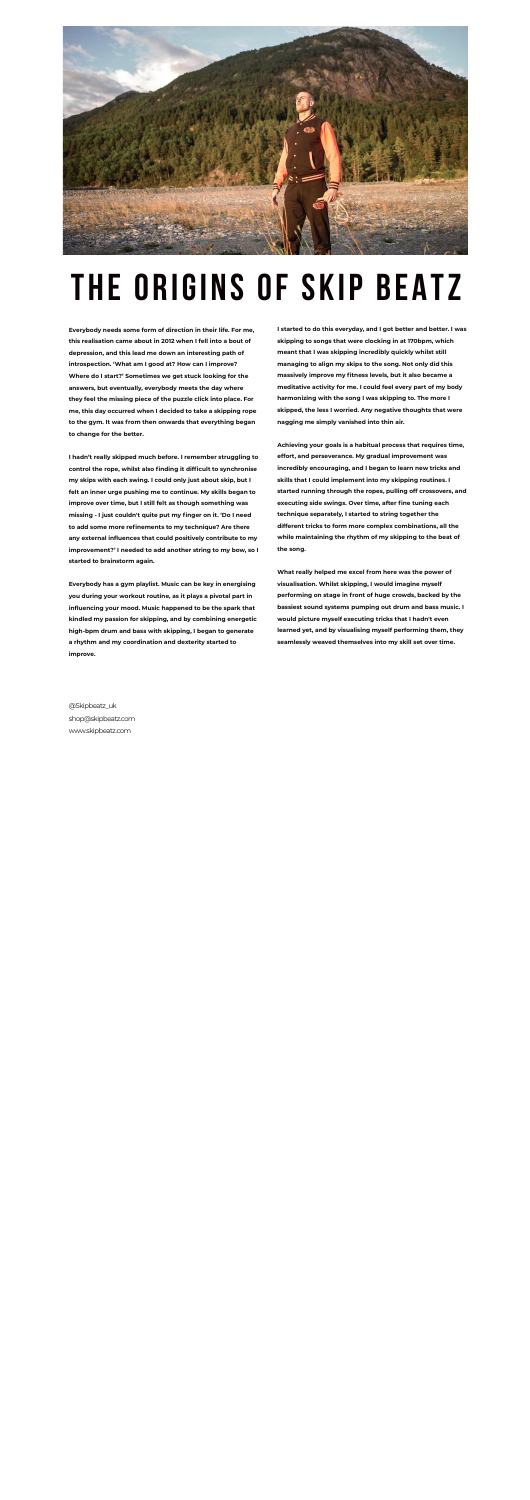

## **THE ORIGINS OF SKIP BEATZ**

**Everybody needs some form of direction in their life. For me, this realisation came about in 2012 when I fell into a bout of depression, and this lead me down an interesting path of introspection. 'What am I good at? How can I improve? Where do I start?' Sometimes we get stuck looking for the answers, but eventually, everybody meets the day where they feel the missing piece of the puzzle click into place. For me, this day occurred when I decided to take a skipping rope to the gym. It was from then onwards that everything began to change for the better.** 

**I hadn't really skipped much before. I remember struggling to control the rope, whilst also finding it difficult to synchronise my skips with each swing. I could only just about skip, but I felt an inner urge pushing me to continue. My skills began to improve over time, but I still felt as though something was missing - I just couldn't quite put my finger on it. 'Do I need to add some more refinements to my technique? Are there any external influences that could positively contribute to my improvement?' I needed to add another string to my bow, so I started to brainstorm again.** 

**Everybody has a gym playlist. Music can be key in energising you during your workout routine, as it plays a pivotal part in influencing your mood. Music happened to be the spark that kindled my passion for skipping, and by combining energetic high-bpm drum and bass with skipping, I began to generate a rhythm and my coordination and dexterity started to improve.** 

**I started to do this everyday, and I got better and better. I was skipping to songs that were clocking in at 170bpm, which meant that I was skipping incredibly quickly whilst still managing to align my skips to the song. Not only did this massively improve my fitness levels, but it also became a meditative activity for me. I could feel every part of my body harmonizing with the song I was skipping to. The more I skipped, the less I worried. Any negative thoughts that were nagging me simply vanished into thin air.** 

**Achieving your goals is a habitual process that requires time, effort, and perseverance. My gradual improvement was incredibly encouraging, and I began to learn new tricks and skills that I could implement into my skipping routines. I started running through the ropes, pulling off crossovers, and executing side swings. Over time, after fine tuning each technique separately, I started to string together the different tricks to form more complex combinations, all the while maintaining the rhythm of my skipping to the beat of the song.** 

**What really helped me excel from here was the power of visualisation. Whilst skipping, I would imagine myself performing on stage in front of huge crowds, backed by the bassiest sound systems pumping out drum and bass music. I would picture myself executing tricks that I hadn't even learned yet, and by visualising myself performing them, they seamlessly weaved themselves into my skill set over time.** 

@Skipbeatz\_uk shop@skipbeatz.com www.skipbeatz.com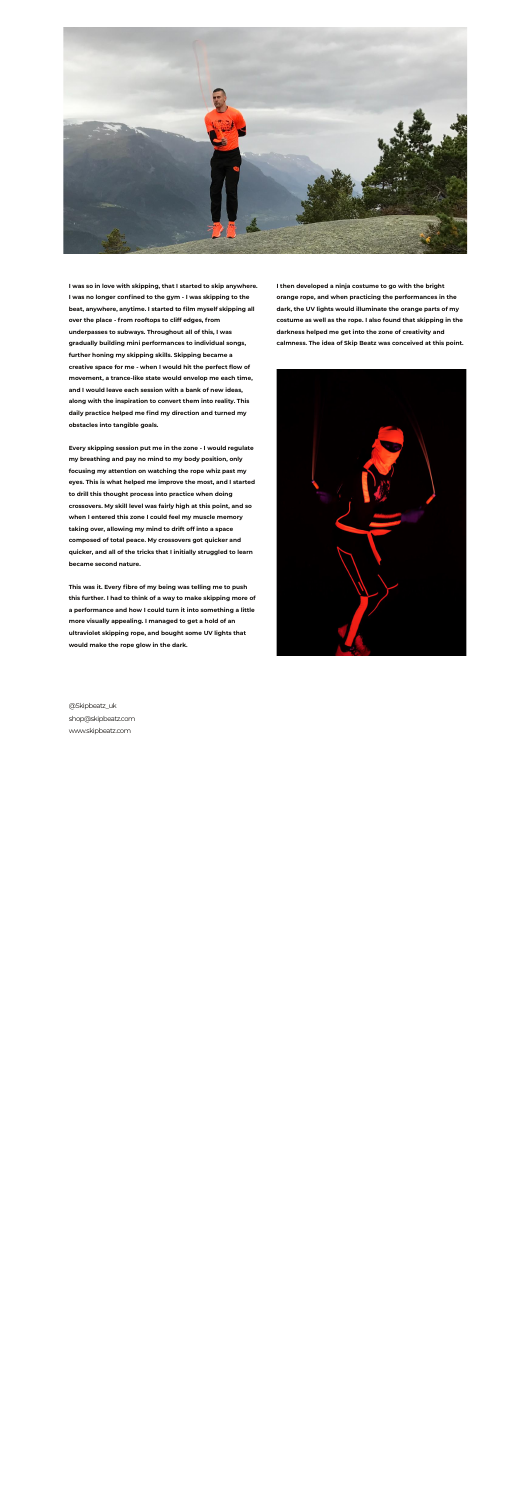

**I was so in love with skipping, that I started to skip anywhere. I was no longer confined to the gym - I was skipping to the beat, anywhere, anytime. I started to film myself skipping all over the place - from rooftops to cliff edges, from underpasses to subways. Throughout all of this, I was gradually building mini performances to individual songs, further honing my skipping skills. Skipping became a creative space for me - when I would hit the perfect flow of movement, a trance-like state would envelop me each time, and I would leave each session with a bank of new ideas, along with the inspiration to convert them into reality. This daily practice helped me find my direction and turned my obstacles into tangible goals.** 

**Every skipping session put me in the zone - I would regulate my breathing and pay no mind to my body position, only focusing my attention on watching the rope whiz past my eyes. This is what helped me improve the most, and I started to drill this thought process into practice when doing crossovers. My skill level was fairly high at this point, and so when I entered this zone I could feel my muscle memory taking over, allowing my mind to drift off into a space composed of total peace. My crossovers got quicker and quicker, and all of the tricks that I initially struggled to learn became second nature.** 

**This was it. Every fibre of my being was telling me to push this further. I had to think of a way to make skipping more of a performance and how I could turn it into something a little more visually appealing. I managed to get a hold of an ultraviolet skipping rope, and bought some UV lights that would make the rope glow in the dark.** 

**I then developed a ninja costume to go with the bright orange rope, and when practicing the performances in the dark, the UV lights would illuminate the orange parts of my costume as well as the rope. I also found that skipping in the darkness helped me get into the zone of creativity and calmness. The idea of Skip Beatz was conceived at this point.** 



@Skipbeatz\_uk shop@skipbeatz.com www.skipbeatz.com